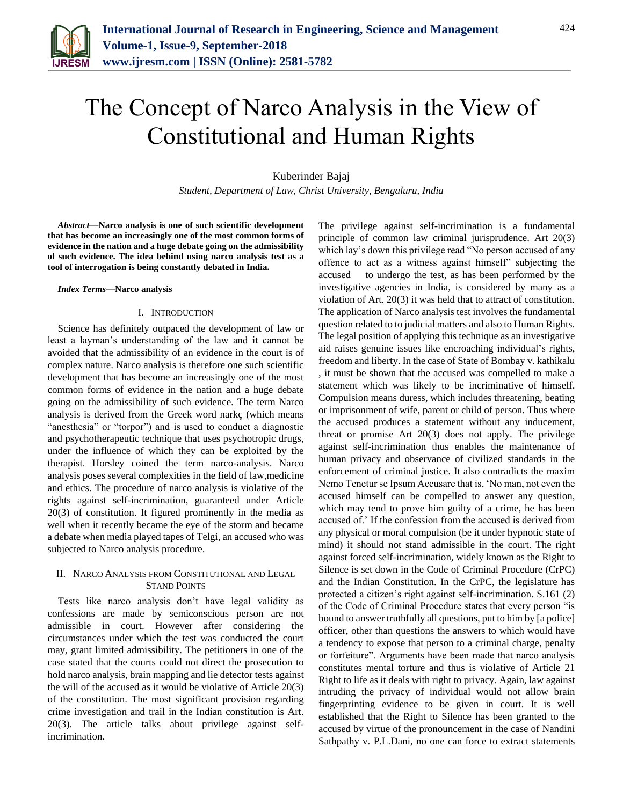

# The Concept of Narco Analysis in the View of Constitutional and Human Rights

Kuberinder Bajaj

*Student, Department of Law, Christ University, Bengaluru, India*

*Abstract***—Narco analysis is one of such scientific development that has become an increasingly one of the most common forms of evidence in the nation and a huge debate going on the admissibility of such evidence. The idea behind using narco analysis test as a tool of interrogation is being constantly debated in India.**

#### *Index Terms***—Narco analysis**

## I. INTRODUCTION

Science has definitely outpaced the development of law or least a layman's understanding of the law and it cannot be avoided that the admissibility of an evidence in the court is of complex nature. Narco analysis is therefore one such scientific development that has become an increasingly one of the most common forms of evidence in the nation and a huge debate going on the admissibility of such evidence. The term Narco analysis is derived from the Greek word narkç (which means "anesthesia" or "torpor") and is used to conduct a diagnostic and psychotherapeutic technique that uses psychotropic drugs, under the influence of which they can be exploited by the therapist. Horsley coined the term narco-analysis. Narco analysis poses several complexities in the field of law,medicine and ethics. The procedure of narco analysis is violative of the rights against self-incrimination, guaranteed under Article 20(3) of constitution. It figured prominently in the media as well when it recently became the eye of the storm and became a debate when media played tapes of Telgi, an accused who was subjected to Narco analysis procedure.

## II. NARCO ANALYSIS FROM CONSTITUTIONAL AND LEGAL STAND POINTS

Tests like narco analysis don't have legal validity as confessions are made by semiconscious person are not admissible in court. However after considering the circumstances under which the test was conducted the court may, grant limited admissibility. The petitioners in one of the case stated that the courts could not direct the prosecution to hold narco analysis, brain mapping and lie detector tests against the will of the accused as it would be violative of Article 20(3) of the constitution. The most significant provision regarding crime investigation and trail in the Indian constitution is Art. 20(3). The article talks about privilege against selfincrimination.

The privilege against self-incrimination is a fundamental principle of common law criminal jurisprudence. Art 20(3) which lay's down this privilege read "No person accused of any offence to act as a witness against himself" subjecting the accused to undergo the test, as has been performed by the investigative agencies in India, is considered by many as a violation of Art. 20(3) it was held that to attract of constitution. The application of Narco analysis test involves the fundamental question related to to judicial matters and also to Human Rights. The legal position of applying this technique as an investigative aid raises genuine issues like encroaching individual's rights, freedom and liberty. In the case of State of Bombay v. kathikalu , it must be shown that the accused was compelled to make a statement which was likely to be incriminative of himself. Compulsion means duress, which includes threatening, beating or imprisonment of wife, parent or child of person. Thus where the accused produces a statement without any inducement, threat or promise Art 20(3) does not apply. The privilege against self-incrimination thus enables the maintenance of human privacy and observance of civilized standards in the enforcement of criminal justice. It also contradicts the maxim Nemo Tenetur se Ipsum Accusare that is, 'No man, not even the accused himself can be compelled to answer any question, which may tend to prove him guilty of a crime, he has been accused of.' If the confession from the accused is derived from any physical or moral compulsion (be it under hypnotic state of mind) it should not stand admissible in the court. The right against forced self-incrimination, widely known as the Right to Silence is set down in the Code of Criminal Procedure (CrPC) and the Indian Constitution. In the CrPC, the legislature has protected a citizen's right against self-incrimination. S.161 (2) of the Code of Criminal Procedure states that every person "is bound to answer truthfully all questions, put to him by [a police] officer, other than questions the answers to which would have a tendency to expose that person to a criminal charge, penalty or forfeiture". Arguments have been made that narco analysis constitutes mental torture and thus is violative of Article 21 Right to life as it deals with right to privacy. Again, law against intruding the privacy of individual would not allow brain fingerprinting evidence to be given in court. It is well established that the Right to Silence has been granted to the accused by virtue of the pronouncement in the case of Nandini Sathpathy v. P.L.Dani, no one can force to extract statements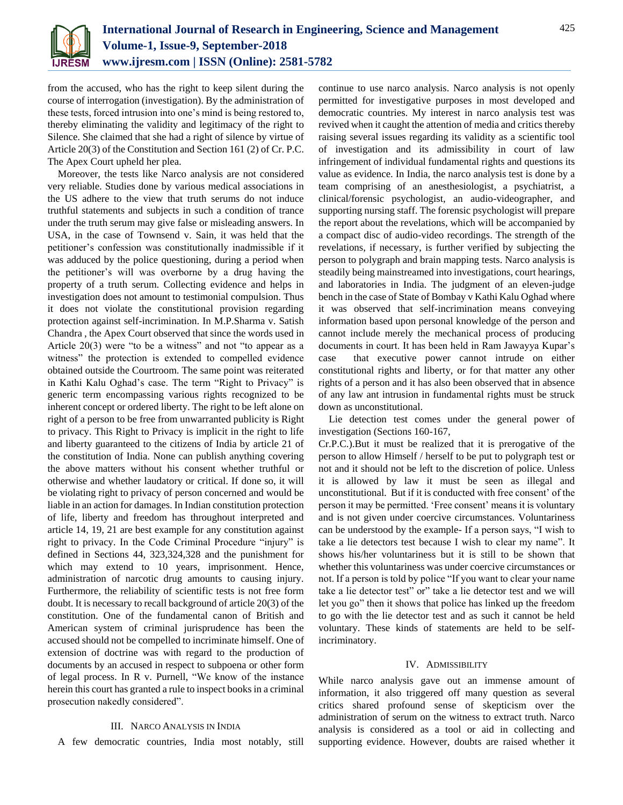

from the accused, who has the right to keep silent during the course of interrogation (investigation). By the administration of these tests, forced intrusion into one's mind is being restored to, thereby eliminating the validity and legitimacy of the right to Silence. She claimed that she had a right of silence by virtue of Article 20(3) of the Constitution and Section 161 (2) of Cr. P.C. The Apex Court upheld her plea.

Moreover, the tests like Narco analysis are not considered very reliable. Studies done by various medical associations in the US adhere to the view that truth serums do not induce truthful statements and subjects in such a condition of trance under the truth serum may give false or misleading answers. In USA, in the case of Townsend v. Sain, it was held that the petitioner's confession was constitutionally inadmissible if it was adduced by the police questioning, during a period when the petitioner's will was overborne by a drug having the property of a truth serum. Collecting evidence and helps in investigation does not amount to testimonial compulsion. Thus it does not violate the constitutional provision regarding protection against self-incrimination. In M.P.Sharma v. Satish Chandra , the Apex Court observed that since the words used in Article 20(3) were "to be a witness" and not "to appear as a witness" the protection is extended to compelled evidence obtained outside the Courtroom. The same point was reiterated in Kathi Kalu Oghad's case. The term "Right to Privacy" is generic term encompassing various rights recognized to be inherent concept or ordered liberty. The right to be left alone on right of a person to be free from unwarranted publicity is Right to privacy. This Right to Privacy is implicit in the right to life and liberty guaranteed to the citizens of India by article 21 of the constitution of India. None can publish anything covering the above matters without his consent whether truthful or otherwise and whether laudatory or critical. If done so, it will be violating right to privacy of person concerned and would be liable in an action for damages. In Indian constitution protection of life, liberty and freedom has throughout interpreted and article 14, 19, 21 are best example for any constitution against right to privacy. In the Code Criminal Procedure "injury" is defined in Sections 44, 323,324,328 and the punishment for which may extend to 10 years, imprisonment. Hence, administration of narcotic drug amounts to causing injury. Furthermore, the reliability of scientific tests is not free form doubt. It is necessary to recall background of article 20(3) of the constitution. One of the fundamental canon of British and American system of criminal jurisprudence has been the accused should not be compelled to incriminate himself. One of extension of doctrine was with regard to the production of documents by an accused in respect to subpoena or other form of legal process. In R v. Purnell, "We know of the instance herein this court has granted a rule to inspect books in a criminal prosecution nakedly considered".

#### III. NARCO ANALYSIS IN INDIA

A few democratic countries, India most notably, still

continue to use narco analysis. Narco analysis is not openly permitted for investigative purposes in most developed and democratic countries. My interest in narco analysis test was revived when it caught the attention of media and critics thereby raising several issues regarding its validity as a scientific tool of investigation and its admissibility in court of law infringement of individual fundamental rights and questions its value as evidence. In India, the narco analysis test is done by a team comprising of an anesthesiologist, a psychiatrist, a clinical/forensic psychologist, an audio-videographer, and supporting nursing staff. The forensic psychologist will prepare the report about the revelations, which will be accompanied by a compact disc of audio-video recordings. The strength of the revelations, if necessary, is further verified by subjecting the person to polygraph and brain mapping tests. Narco analysis is steadily being mainstreamed into investigations, court hearings, and laboratories in India. The judgment of an eleven-judge bench in the case of State of Bombay v Kathi Kalu Oghad where it was observed that self-incrimination means conveying information based upon personal knowledge of the person and cannot include merely the mechanical process of producing documents in court. It has been held in Ram Jawayya Kupar's case that executive power cannot intrude on either constitutional rights and liberty, or for that matter any other rights of a person and it has also been observed that in absence of any law ant intrusion in fundamental rights must be struck down as unconstitutional.

Lie detection test comes under the general power of investigation (Sections 160-167,

Cr.P.C.).But it must be realized that it is prerogative of the person to allow Himself / herself to be put to polygraph test or not and it should not be left to the discretion of police. Unless it is allowed by law it must be seen as illegal and unconstitutional. But if it is conducted with free consent' of the person it may be permitted. 'Free consent' means it is voluntary and is not given under coercive circumstances. Voluntariness can be understood by the example- If a person says, "I wish to take a lie detectors test because I wish to clear my name". It shows his/her voluntariness but it is still to be shown that whether this voluntariness was under coercive circumstances or not. If a person is told by police "If you want to clear your name take a lie detector test" or" take a lie detector test and we will let you go" then it shows that police has linked up the freedom to go with the lie detector test and as such it cannot be held voluntary. These kinds of statements are held to be selfincriminatory.

#### IV. ADMISSIBILITY

While narco analysis gave out an immense amount of information, it also triggered off many question as several critics shared profound sense of skepticism over the administration of serum on the witness to extract truth. Narco analysis is considered as a tool or aid in collecting and supporting evidence. However, doubts are raised whether it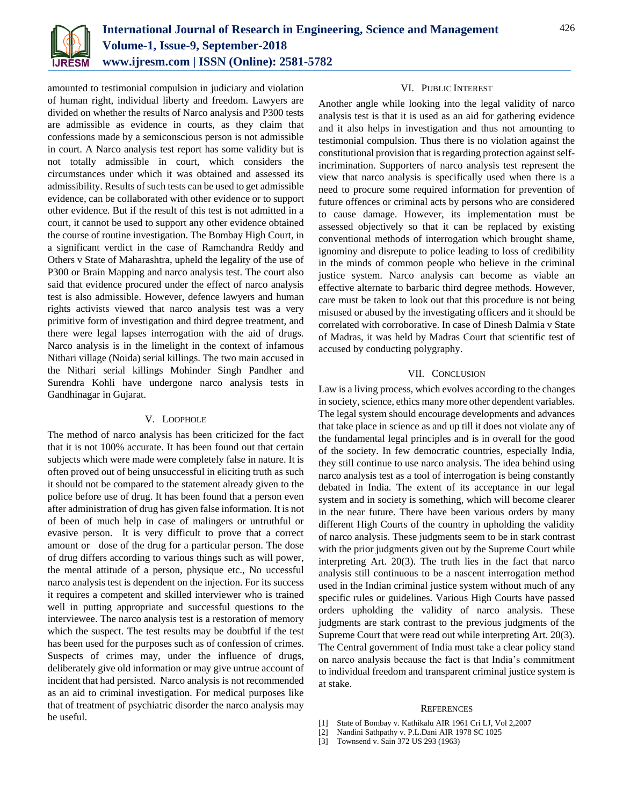

amounted to testimonial compulsion in judiciary and violation of human right, individual liberty and freedom. Lawyers are divided on whether the results of Narco analysis and P300 tests are admissible as evidence in courts, as they claim that confessions made by a semiconscious person is not admissible in court. A Narco analysis test report has some validity but is not totally admissible in court, which considers the circumstances under which it was obtained and assessed its admissibility. Results of such tests can be used to get admissible evidence, can be collaborated with other evidence or to support other evidence. But if the result of this test is not admitted in a court, it cannot be used to support any other evidence obtained the course of routine investigation. The Bombay High Court, in a significant verdict in the case of Ramchandra Reddy and Others v State of Maharashtra, upheld the legality of the use of P300 or Brain Mapping and narco analysis test. The court also said that evidence procured under the effect of narco analysis test is also admissible. However, defence lawyers and human rights activists viewed that narco analysis test was a very primitive form of investigation and third degree treatment, and there were legal lapses interrogation with the aid of drugs. Narco analysis is in the limelight in the context of infamous Nithari village (Noida) serial killings. The two main accused in the Nithari serial killings Mohinder Singh Pandher and Surendra Kohli have undergone narco analysis tests in Gandhinagar in Gujarat.

## V. LOOPHOLE

The method of narco analysis has been criticized for the fact that it is not 100% accurate. It has been found out that certain subjects which were made were completely false in nature. It is often proved out of being unsuccessful in eliciting truth as such it should not be compared to the statement already given to the police before use of drug. It has been found that a person even after administration of drug has given false information. It is not of been of much help in case of malingers or untruthful or evasive person. It is very difficult to prove that a correct amount or dose of the drug for a particular person. The dose of drug differs according to various things such as will power, the mental attitude of a person, physique etc., No uccessful narco analysis test is dependent on the injection. For its success it requires a competent and skilled interviewer who is trained well in putting appropriate and successful questions to the interviewee. The narco analysis test is a restoration of memory which the suspect. The test results may be doubtful if the test has been used for the purposes such as of confession of crimes. Suspects of crimes may, under the influence of drugs, deliberately give old information or may give untrue account of incident that had persisted. Narco analysis is not recommended as an aid to criminal investigation. For medical purposes like that of treatment of psychiatric disorder the narco analysis may be useful.

### VI. PUBLIC INTEREST

Another angle while looking into the legal validity of narco analysis test is that it is used as an aid for gathering evidence and it also helps in investigation and thus not amounting to testimonial compulsion. Thus there is no violation against the constitutional provision that is regarding protection against selfincrimination. Supporters of narco analysis test represent the view that narco analysis is specifically used when there is a need to procure some required information for prevention of future offences or criminal acts by persons who are considered to cause damage. However, its implementation must be assessed objectively so that it can be replaced by existing conventional methods of interrogation which brought shame, ignominy and disrepute to police leading to loss of credibility in the minds of common people who believe in the criminal justice system. Narco analysis can become as viable an effective alternate to barbaric third degree methods. However, care must be taken to look out that this procedure is not being misused or abused by the investigating officers and it should be correlated with corroborative. In case of Dinesh Dalmia v State of Madras, it was held by Madras Court that scientific test of accused by conducting polygraphy.

## VII. CONCLUSION

Law is a living process, which evolves according to the changes in society, science, ethics many more other dependent variables. The legal system should encourage developments and advances that take place in science as and up till it does not violate any of the fundamental legal principles and is in overall for the good of the society. In few democratic countries, especially India, they still continue to use narco analysis. The idea behind using narco analysis test as a tool of interrogation is being constantly debated in India. The extent of its acceptance in our legal system and in society is something, which will become clearer in the near future. There have been various orders by many different High Courts of the country in upholding the validity of narco analysis. These judgments seem to be in stark contrast with the prior judgments given out by the Supreme Court while interpreting Art. 20(3). The truth lies in the fact that narco analysis still continuous to be a nascent interrogation method used in the Indian criminal justice system without much of any specific rules or guidelines. Various High Courts have passed orders upholding the validity of narco analysis. These judgments are stark contrast to the previous judgments of the Supreme Court that were read out while interpreting Art. 20(3). The Central government of India must take a clear policy stand on narco analysis because the fact is that India's commitment to individual freedom and transparent criminal justice system is at stake.

#### **REFERENCES**

- [1] State of Bombay v. Kathikalu AIR 1961 Cri LJ, Vol 2,2007
- [2] Nandini Sathpathy v. P.L.Dani AIR 1978 SC 1025
- [3] Townsend v. Sain 372 US 293 (1963)